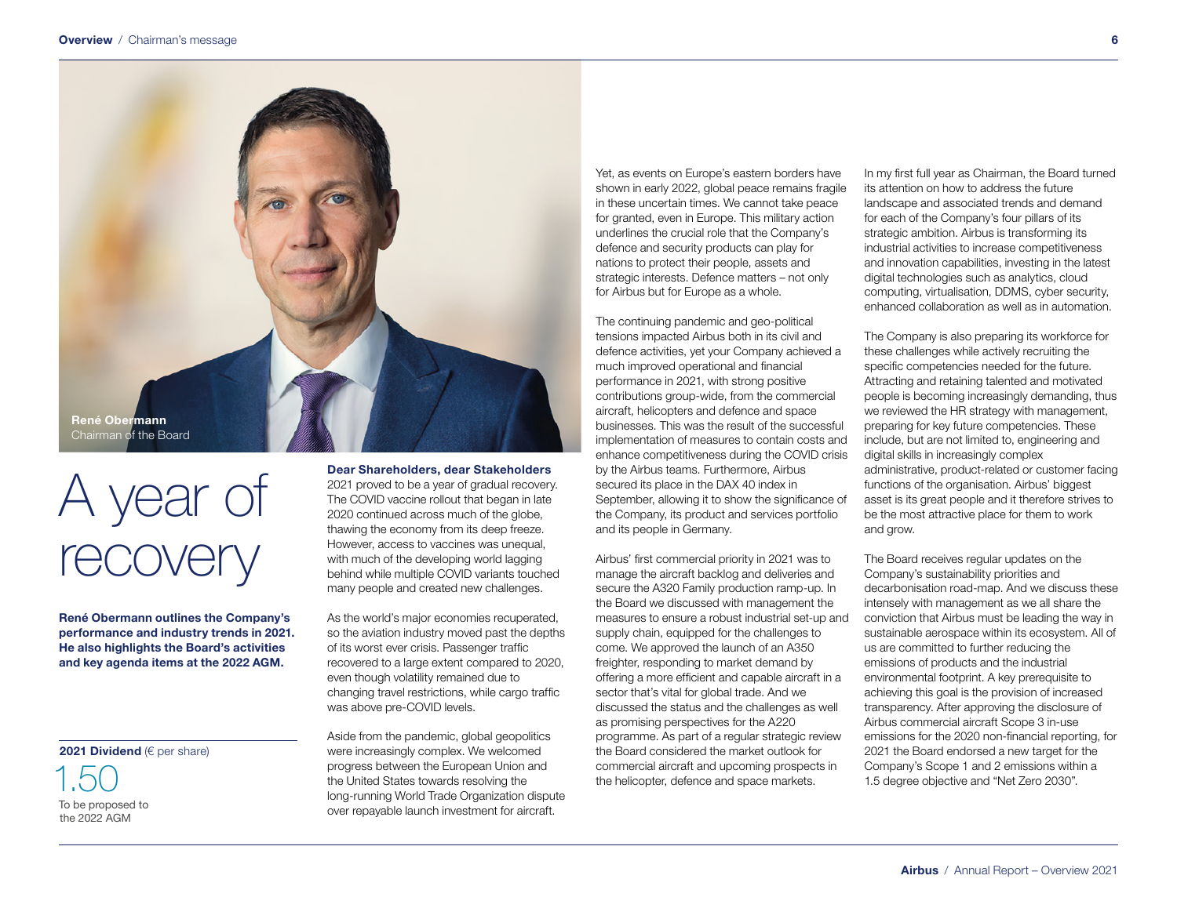

# A year of recovery

René Obermann outlines the Company's performance and industry trends in 2021. He also highlights the Board's activities and key agenda items at the 2022 AGM.

## 2021 Dividend (€ per share)

1.50 To be proposed to the 2022 AGM

Dear Shareholders, dear Stakeholders 2021 proved to be a year of gradual recovery. The COVID vaccine rollout that began in late 2020 continued across much of the globe,

thawing the economy from its deep freeze. However, access to vaccines was unequal, with much of the developing world lagging behind while multiple COVID variants touched many people and created new challenges.

As the world's major economies recuperated, so the aviation industry moved past the depths of its worst ever crisis. Passenger traffic recovered to a large extent compared to 2020, even though volatility remained due to changing travel restrictions, while cargo traffic was above pre-COVID levels.

Aside from the pandemic, global geopolitics were increasingly complex. We welcomed progress between the European Union and the United States towards resolving the long-running World Trade Organization dispute over repayable launch investment for aircraft.

Yet, as events on Europe's eastern borders have shown in early 2022, global peace remains fragile in these uncertain times. We cannot take peace for granted, even in Europe. This military action underlines the crucial role that the Company's defence and security products can play for nations to protect their people, assets and strategic interests. Defence matters – not only for Airbus but for Europe as a whole.

The continuing pandemic and geo-political tensions impacted Airbus both in its civil and defence activities, yet your Company achieved a much improved operational and financial performance in 2021, with strong positive contributions group-wide, from the commercial aircraft, helicopters and defence and space businesses. This was the result of the successful implementation of measures to contain costs and enhance competitiveness during the COVID crisis by the Airbus teams. Furthermore, Airbus secured its place in the DAX 40 index in September, allowing it to show the significance of the Company, its product and services portfolio and its people in Germany.

Airbus' first commercial priority in 2021 was to manage the aircraft backlog and deliveries and secure the A320 Family production ramp-up. In the Board we discussed with management the measures to ensure a robust industrial set-up and supply chain, equipped for the challenges to come. We approved the launch of an A350 freighter, responding to market demand by offering a more efficient and capable aircraft in a sector that's vital for global trade. And we discussed the status and the challenges as well as promising perspectives for the A220 programme. As part of a regular strategic review the Board considered the market outlook for commercial aircraft and upcoming prospects in the helicopter, defence and space markets.

In my first full year as Chairman, the Board turned its attention on how to address the future landscape and associated trends and demand for each of the Company's four pillars of its strategic ambition. Airbus is transforming its industrial activities to increase competitiveness and innovation capabilities, investing in the latest digital technologies such as analytics, cloud computing, virtualisation, DDMS, cyber security, enhanced collaboration as well as in automation.

The Company is also preparing its workforce for these challenges while actively recruiting the specific competencies needed for the future. Attracting and retaining talented and motivated people is becoming increasingly demanding, thus we reviewed the HR strategy with management, preparing for key future competencies. These include, but are not limited to, engineering and digital skills in increasingly complex administrative, product-related or customer facing functions of the organisation. Airbus' biggest asset is its great people and it therefore strives to be the most attractive place for them to work and grow.

The Board receives regular updates on the Company's sustainability priorities and decarbonisation road-map. And we discuss these intensely with management as we all share the conviction that Airbus must be leading the way in sustainable aerospace within its ecosystem. All of us are committed to further reducing the emissions of products and the industrial environmental footprint. A key prerequisite to achieving this goal is the provision of increased transparency. After approving the disclosure of Airbus commercial aircraft Scope 3 in-use emissions for the 2020 non-financial reporting, for 2021 the Board endorsed a new target for the Company's Scope 1 and 2 emissions within a 1.5 degree objective and "Net Zero 2030".